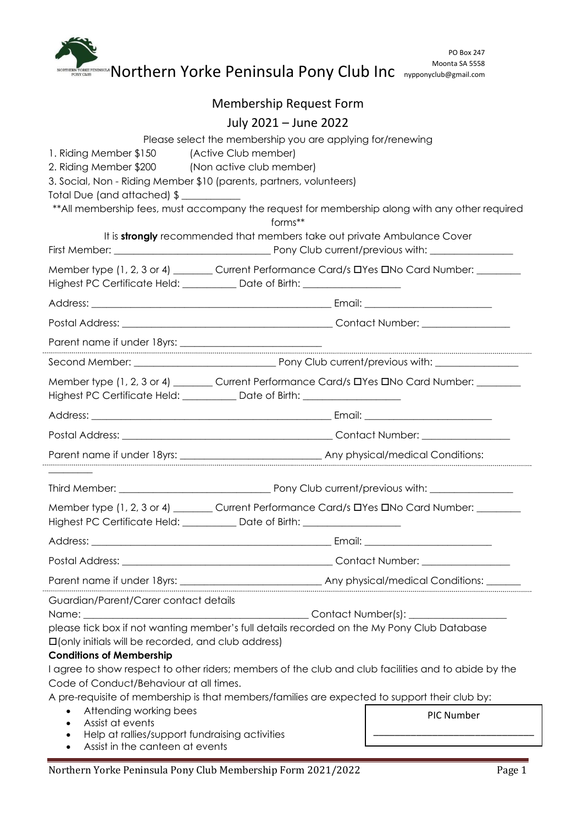|                                                                                                                                                          | <b>ERNYORD PROPERTY IN OUR MANY CONDUCTS</b> TO A SUBSERVED MANY CRIPPING AND THE MODING STRESS COMPROMISE OF THE PROPERTY OF THE PROPERTY OF THE PROPERTY OF THE PROPERTY OF THE PROPERTY OF THE PROPERTY OF THE PROPERTY OF THE P | <b>PO Box 247</b><br>Moonta SA 5558 |  |
|----------------------------------------------------------------------------------------------------------------------------------------------------------|-------------------------------------------------------------------------------------------------------------------------------------------------------------------------------------------------------------------------------------|-------------------------------------|--|
|                                                                                                                                                          | Membership Request Form                                                                                                                                                                                                             |                                     |  |
|                                                                                                                                                          | July 2021 - June 2022                                                                                                                                                                                                               |                                     |  |
|                                                                                                                                                          | Please select the membership you are applying for/renewing                                                                                                                                                                          |                                     |  |
| 1. Riding Member \$150 (Active Club member)<br>2. Riding Member \$200 (Non active club member)                                                           | 3. Social, Non - Riding Member \$10 (parents, partners, volunteers)<br>** All membership fees, must accompany the request for membership along with any other required<br>forms**                                                   |                                     |  |
|                                                                                                                                                          | It is strongly recommended that members take out private Ambulance Cover                                                                                                                                                            |                                     |  |
|                                                                                                                                                          |                                                                                                                                                                                                                                     |                                     |  |
|                                                                                                                                                          | Member type (1, 2, 3 or 4) _______ Current Performance Card/s DYes DNo Card Number: _______<br>Highest PC Certificate Held: ___________ Date of Birth: ________________________                                                     |                                     |  |
|                                                                                                                                                          |                                                                                                                                                                                                                                     |                                     |  |
|                                                                                                                                                          |                                                                                                                                                                                                                                     |                                     |  |
|                                                                                                                                                          |                                                                                                                                                                                                                                     |                                     |  |
|                                                                                                                                                          |                                                                                                                                                                                                                                     |                                     |  |
|                                                                                                                                                          | Member type (1, 2, 3 or 4) ________ Current Performance Card/s DYes DNo Card Number: ________<br>Highest PC Certificate Held: ___________ Date of Birth: ________________________                                                   |                                     |  |
|                                                                                                                                                          |                                                                                                                                                                                                                                     |                                     |  |
|                                                                                                                                                          |                                                                                                                                                                                                                                     |                                     |  |
|                                                                                                                                                          |                                                                                                                                                                                                                                     |                                     |  |
|                                                                                                                                                          |                                                                                                                                                                                                                                     |                                     |  |
|                                                                                                                                                          | Member type (1, 2, 3 or 4) _______ Current Performance Card/s DYes DNo Card Number: _______<br>Highest PC Certificate Held: Date of Birth: 1990 Million Certificate Held:                                                           |                                     |  |
|                                                                                                                                                          |                                                                                                                                                                                                                                     |                                     |  |
|                                                                                                                                                          |                                                                                                                                                                                                                                     |                                     |  |
|                                                                                                                                                          |                                                                                                                                                                                                                                     |                                     |  |
| Guardian/Parent/Carer contact details                                                                                                                    |                                                                                                                                                                                                                                     |                                     |  |
| <b>Interefall on the Updal State State State State State State State State State State State State State State St</b><br><b>Conditions of Membership</b> | please tick box if not wanting member's full details recorded on the My Pony Club Database                                                                                                                                          |                                     |  |
|                                                                                                                                                          | I agree to show respect to other riders; members of the club and club facilities and to abide by the                                                                                                                                |                                     |  |
| Code of Conduct/Behaviour at all times.                                                                                                                  | A pre-requisite of membership is that members/families are expected to support their club by:                                                                                                                                       |                                     |  |
| Attending working bees<br>$\bullet$<br><b>PIC Number</b><br>Assist at events<br>Help at rallies/support fundraising activities<br>$\bullet$              |                                                                                                                                                                                                                                     |                                     |  |

 $\ddot{\phantom{a}}$ 

 $\ddot{\phantom{a}}$ 

 $\ddot{ }$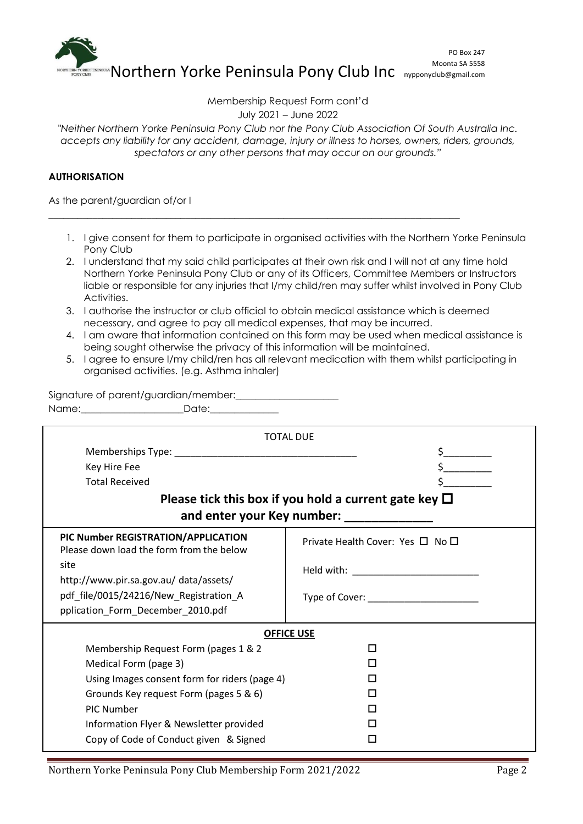

Membership Request Form cont'd

July 2021 – June 2022

*"Neither Northern Yorke Peninsula Pony Club nor the Pony Club Association Of South Australia Inc. accepts any liability for any accident, damage, injury or illness to horses, owners, riders, grounds, spectators or any other persons that may occur on our grounds."*

# **AUTHORISATION**

As the parent/guardian of/or I

- 1. I give consent for them to participate in organised activities with the Northern Yorke Peninsula Pony Club
- 2. I understand that my said child participates at their own risk and I will not at any time hold Northern Yorke Peninsula Pony Club or any of its Officers, Committee Members or Instructors liable or responsible for any injuries that I/my child/ren may suffer whilst involved in Pony Club Activities.
- 3. I authorise the instructor or club official to obtain medical assistance which is deemed necessary, and agree to pay all medical expenses, that may be incurred.

\_\_\_\_\_\_\_\_\_\_\_\_\_\_\_\_\_\_\_\_\_\_\_\_\_\_\_\_\_\_\_\_\_\_\_\_\_\_\_\_\_\_\_\_\_\_\_\_\_\_\_\_\_\_\_\_\_\_\_\_\_\_\_\_\_\_\_\_\_\_\_\_\_\_\_\_\_\_\_\_\_\_\_\_

- 4. I am aware that information contained on this form may be used when medical assistance is being sought otherwise the privacy of this information will be maintained.
- 5. I agree to ensure I/my child/ren has all relevant medication with them whilst participating in organised activities. (e.g. Asthma inhaler)

Signature of parent/guardian/member: Name:\_\_\_\_\_\_\_\_\_\_\_\_\_\_\_\_\_\_\_\_\_Date:\_\_\_\_\_\_\_\_\_\_\_\_\_\_

|                                                                                 | <b>TOTAL DUE</b>                                           |  |  |  |  |
|---------------------------------------------------------------------------------|------------------------------------------------------------|--|--|--|--|
|                                                                                 |                                                            |  |  |  |  |
| Key Hire Fee                                                                    |                                                            |  |  |  |  |
| <b>Total Received</b>                                                           |                                                            |  |  |  |  |
|                                                                                 | Please tick this box if you hold a current gate key $\Box$ |  |  |  |  |
| and enter your Key number:                                                      |                                                            |  |  |  |  |
| PIC Number REGISTRATION/APPLICATION<br>Please down load the form from the below | Private Health Cover: Yes $\Box$ No $\Box$                 |  |  |  |  |
| site<br>http://www.pir.sa.gov.au/ data/assets/                                  |                                                            |  |  |  |  |
| pdf_file/0015/24216/New_Registration_A                                          |                                                            |  |  |  |  |
| pplication_Form_December_2010.pdf                                               |                                                            |  |  |  |  |
| <b>OFFICE USE</b>                                                               |                                                            |  |  |  |  |
| Membership Request Form (pages 1 & 2                                            | H                                                          |  |  |  |  |
| Medical Form (page 3)                                                           |                                                            |  |  |  |  |
| Using Images consent form for riders (page 4)                                   |                                                            |  |  |  |  |
| Grounds Key request Form (pages 5 & 6)                                          |                                                            |  |  |  |  |
| PIC Number                                                                      |                                                            |  |  |  |  |
| Information Flyer & Newsletter provided                                         |                                                            |  |  |  |  |
| Copy of Code of Conduct given & Signed                                          |                                                            |  |  |  |  |
|                                                                                 |                                                            |  |  |  |  |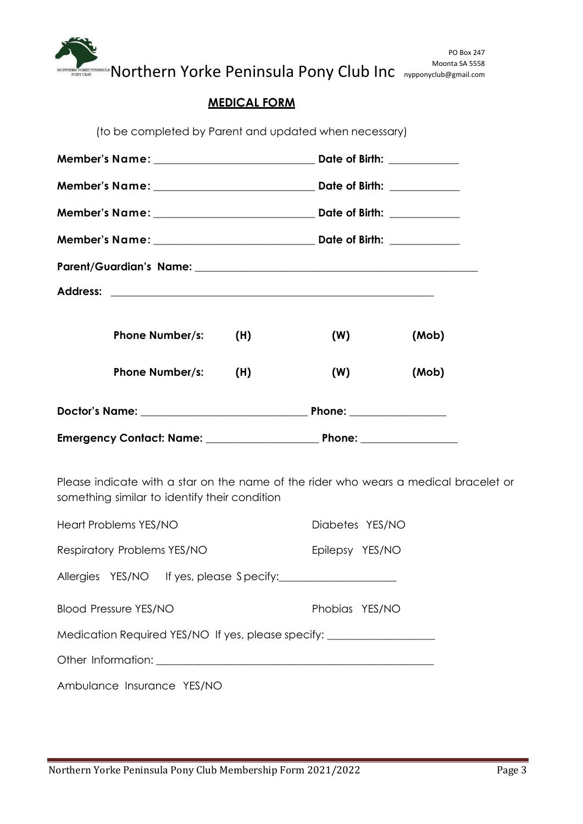

Moonta SA 5558 Moonta SA 5558

# **MEDICAL FORM**

| <b>Phone Number/s:</b>                                                                                                                | (H) | (W) | (Mob) |  |
|---------------------------------------------------------------------------------------------------------------------------------------|-----|-----|-------|--|
| <b>Phone Number/s:</b>                                                                                                                | (H) | (W) | (Mob) |  |
|                                                                                                                                       |     |     |       |  |
|                                                                                                                                       |     |     |       |  |
| Please indicate with a star on the name of the rider who wears a medical bracelet or<br>something similar to identify their condition |     |     |       |  |

| Heart Problems YES/NO                                                                                                                                                                                                          | Diabetes YES/NO |  |  |  |  |
|--------------------------------------------------------------------------------------------------------------------------------------------------------------------------------------------------------------------------------|-----------------|--|--|--|--|
| Respiratory Problems YES/NO                                                                                                                                                                                                    | Epilepsy YES/NO |  |  |  |  |
| Allergies YES/NO If yes, please Specify:                                                                                                                                                                                       |                 |  |  |  |  |
| <b>Blood Pressure YES/NO</b>                                                                                                                                                                                                   | Phobias YES/NO  |  |  |  |  |
| Medication Required YES/NO If yes, please specify:                                                                                                                                                                             |                 |  |  |  |  |
| Other Information: The Contract of the Contract of the Contract of the Contract of the Contract of the Contract of the Contract of the Contract of the Contract of the Contract of the Contract of the Contract of the Contrac |                 |  |  |  |  |
| Ambulance Insurance YES/NO                                                                                                                                                                                                     |                 |  |  |  |  |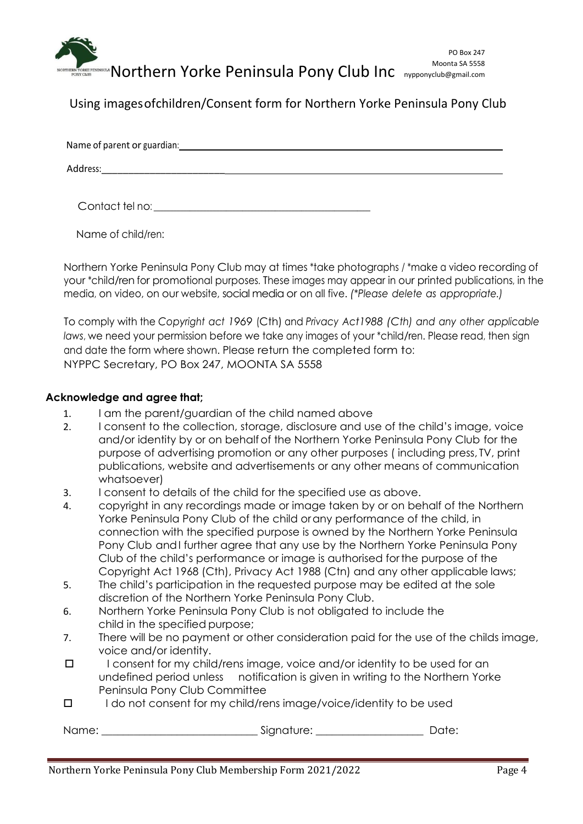

Using images ofchildren/Consent form for Northern Yorke Peninsula Pony Club

| Address: |
|----------|

Contact tel no: \_\_\_\_\_\_\_\_\_\_\_\_\_\_\_\_\_\_\_\_\_\_\_\_\_\_\_\_\_\_\_\_\_\_\_\_\_\_\_\_\_\_\_\_\_\_\_\_\_\_\_\_\_\_\_\_\_\_\_\_\_\_\_\_\_\_

Name of child/ren:

Northern Yorke Peninsula Pony Club may at times \*take photographs / \*make a video recording of your \*child/ren for promotional purposes. These images may appear in our printed publications, in the media, on video, on our website, social media or on all five. *(\*Please delete as appropriate.)*

To comply with the *Copyright act 1969* (Cth) and *Privacy Act1988 (Cth) and any other applicable laws*, we need your permission before we take any images of your \*child/ren. Please read, then sign and date the form where shown. Please return the completed form to: NYPPC Secretary, PO Box 247, MOONTA SA 5558

# **Acknowledge and agree that;**

- 1. I am the parent/guardian of the child named above
- 2. I consent to the collection, storage, disclosure and use of the child's image, voice and/or identity by or on behalf of the Northern Yorke Peninsula Pony Club for the purpose of advertising promotion or any other purposes ( including press, TV, print publications, website and advertisements or any other means of communication whatsoever)
- 3. I consent to details of the child for the specified use as above.
- 4. copyright in any recordings made or image taken by or on behalf of the Northern Yorke Peninsula Pony Club of the child orany performance of the child, in connection with the specified purpose is owned by the Northern Yorke Peninsula Pony Club andI further agree that any use by the Northern Yorke Peninsula Pony Club of the child's performance or image is authorised forthe purpose of the Copyright Act 1968 (Cth), Privacy Act 1988 (Ctn) and any other applicable laws;
- 5. The child's participation in the requested purpose may be edited at the sole discretion of the Northern Yorke Peninsula Pony Club.
- 6. Northern Yorke Peninsula Pony Club is not obligated to include the child in the specified purpose;
- 7. There will be no payment or other consideration paid for the use of the childs image, voice and/or identity.
- $\square$  I consent for my child/rens image, voice and/or identity to be used for an undefined period unless notification is given in writing to the Northern Yorke Peninsula Pony Club Committee
- $\Box$  I do not consent for my child/rens image/voice/identity to be used

Name: \_\_\_\_\_\_\_\_\_\_\_\_\_\_\_\_\_\_\_\_\_\_\_\_\_\_\_\_\_ Signature: \_\_\_\_\_\_\_\_\_\_\_\_\_\_\_\_\_\_\_\_ Date: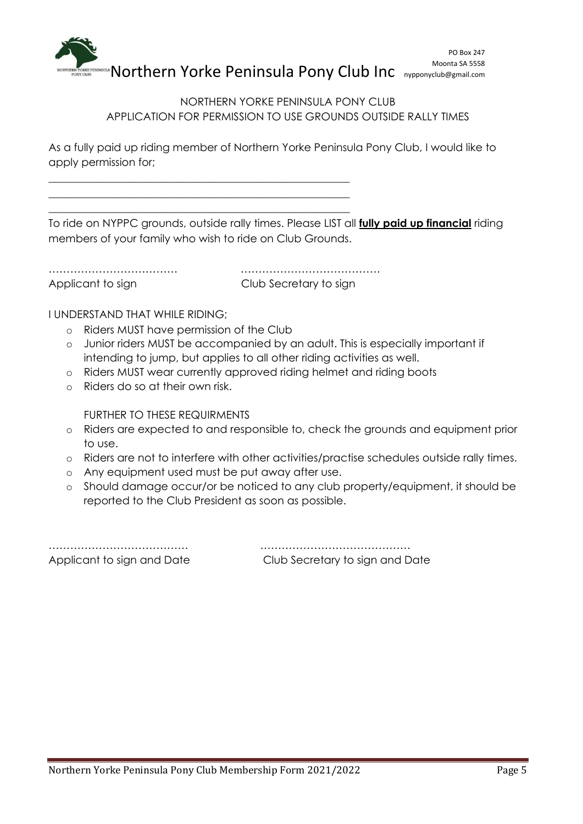

# NORTHERN YORKE PENINSULA PONY CLUB APPLICATION FOR PERMISSION TO USE GROUNDS OUTSIDE RALLY TIMES

As a fully paid up riding member of Northern Yorke Peninsula Pony Club, I would like to apply permission for;

To ride on NYPPC grounds, outside rally times. Please LIST all **fully paid up financial** riding members of your family who wish to ride on Club Grounds.

……………………………… ………………………………… Applicant to sign extending Club Secretary to sign

I UNDERSTAND THAT WHILE RIDING;

o Riders MUST have permission of the Club

\_\_\_\_\_\_\_\_\_\_\_\_\_\_\_\_\_\_\_\_\_\_\_\_\_\_\_\_\_\_\_\_\_\_\_\_\_\_\_\_\_\_\_\_\_\_\_\_\_\_\_\_\_\_\_\_ \_\_\_\_\_\_\_\_\_\_\_\_\_\_\_\_\_\_\_\_\_\_\_\_\_\_\_\_\_\_\_\_\_\_\_\_\_\_\_\_\_\_\_\_\_\_\_\_\_\_\_\_\_\_\_\_ \_\_\_\_\_\_\_\_\_\_\_\_\_\_\_\_\_\_\_\_\_\_\_\_\_\_\_\_\_\_\_\_\_\_\_\_\_\_\_\_\_\_\_\_\_\_\_\_\_\_\_\_\_\_\_\_

- o Junior riders MUST be accompanied by an adult. This is especially important if intending to jump, but applies to all other riding activities as well.
- o Riders MUST wear currently approved riding helmet and riding boots
- o Riders do so at their own risk.

FURTHER TO THESE REQUIRMENTS

- o Riders are expected to and responsible to, check the grounds and equipment prior to use.
- o Riders are not to interfere with other activities/practise schedules outside rally times.
- o Any equipment used must be put away after use.
- o Should damage occur/or be noticed to any club property/equipment, it should be reported to the Club President as soon as possible.

………………………………… …………………………………… Applicant to sign and Date Club Secretary to sign and Date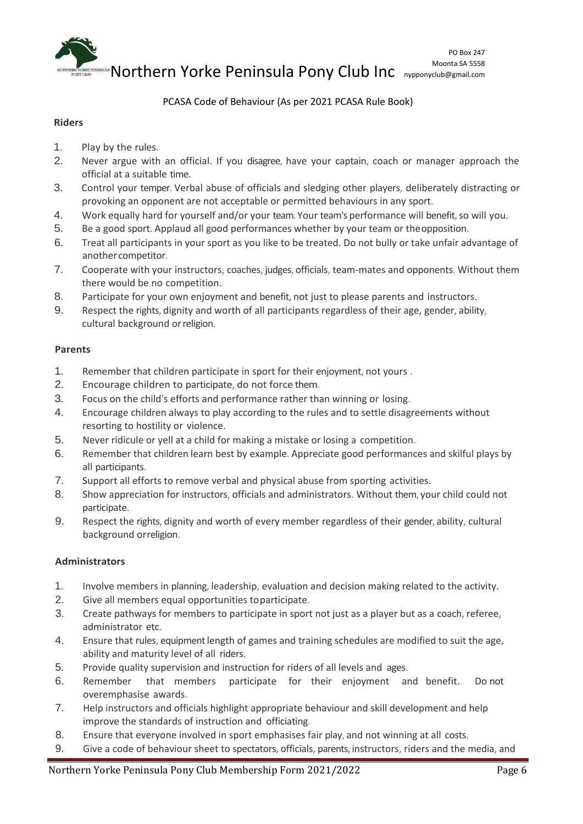

### PCASA Code of Behaviour (As per 2021 PCASA Rule Book)

#### **Riders**

- 1. Play by the rules.
- 2. Never argue with an official. If you disagree, have your captain, coach or manager approach the official at a suitable time.
- 3. Control your temper. Verbal abuse of officials and sledging other players, deliberately distracting or provoking an opponent are not acceptable or permitted behaviours in any sport.
- 4. Work equally hard for yourself and/or your team. Your team's performance will benefit, so will you.
- 5. Be a good sport. Applaud all good performances whether by your team or theopposition.
- 6. Treat all participants in your sport as you like to be treated. Do not bully or take unfair advantage of anothercompetitor.
- 7. Cooperate with your instructors, coaches, judges, officials, team-mates and opponents. Without them there would be no competition.
- 8. Participate for your own enjoyment and benefit, not just to please parents and instructors.
- 9. Respect the rights, dignity and worth of all participants regardless of their age, gender, ability, cultural background orreligion.

#### **Parents**

- 1. Remember that children participate in sport for their enjoyment, not yours .
- 2. Encourage children to participate, do not force them.
- 3. Focus on the child's efforts and performance rather than winning or losing.
- 4. Encourage children always to play according to the rules and to settle disagreements without resorting to hostility or violence.
- 5. Never ridicule or yell at a child for making a mistake or losing a competition.
- 6. Remember that children learn best by example. Appreciate good performances and skilful plays by all participants.
- 7. Support all efforts to remove verbal and physical abuse from sporting activities.
- 8. Show appreciation for instructors, officials and administrators. Without them, your child could not participate.
- 9. Respect the rights, dignity and worth of every member regardless of their gender, ability, cultural background orreligion.

## **Administrators**

- 1. Involve members in planning, leadership, evaluation and decision making related to the activity.
- 2. Give all members equal opportunities toparticipate.
- 3. Create pathways for members to participate in sport not just as a player but as a coach, referee, administrator etc.
- 4. Ensure that rules, equipment length of games and training schedules are modified to suit the age, ability and maturity level of all riders.
- 5. Provide quality supervision and instruction for riders of all levels and ages.
- 6. Remember that members participate for their enjoyment and benefit. Do not overemphasise awards.
- 7. Help instructors and officials highlight appropriate behaviour and skill development and help improve the standards of instruction and officiating.
- 8. Ensure that everyone involved in sport emphasises fair play, and not winning at all costs.
- 9. Give a code of behaviour sheet to spectators, officials, parents, instructors, riders and the media, and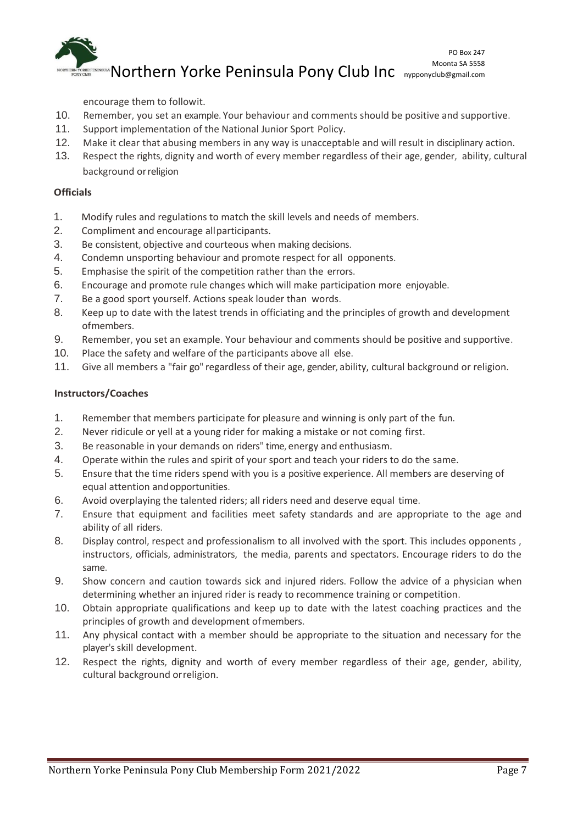

encourage them to followit.

- 10. Remember, you set an example. Your behaviour and comments should be positive and supportive.
- 11. Support implementation of the National Junior Sport Policy.
- 12. Make it clear that abusing members in any way is unacceptable and will result in disciplinary action.
- 13. Respect the rights, dignity and worth of every member regardless of their age, gender, ability, cultural background orreligion

# **Officials**

- 1. Modify rules and regulations to match the skill levels and needs of members.
- 2. Compliment and encourage allparticipants.
- 3. Be consistent, objective and courteous when making decisions.
- 4. Condemn unsporting behaviour and promote respect for all opponents.
- 5. Emphasise the spirit of the competition rather than the errors.
- 6. Encourage and promote rule changes which will make participation more enjoyable.
- 7. Be a good sport yourself. Actions speak louder than words.
- 8. Keep up to date with the latest trends in officiating and the principles of growth and development ofmembers.
- 9. Remember, you set an example. Your behaviour and comments should be positive and supportive.
- 10. Place the safety and welfare of the participants above all else.
- 11. Give all members a "fair go" regardless of their age, gender, ability, cultural background or religion.

## **Instructors/Coaches**

- 1. Remember that members participate for pleasure and winning is only part of the fun.
- 2. Never ridicule or yell at a young rider for making a mistake or not coming first.
- 3. Be reasonable in your demands on riders" time, energy and enthusiasm.
- 4. Operate within the rules and spirit of your sport and teach your riders to do the same.
- 5. Ensure that the time riders spend with you is a positive experience. All members are deserving of equal attention andopportunities.
- 6. Avoid overplaying the talented riders; all riders need and deserve equal time.
- 7. Ensure that equipment and facilities meet safety standards and are appropriate to the age and ability of all riders.
- 8. Display control, respect and professionalism to all involved with the sport. This includes opponents , instructors, officials, administrators, the media, parents and spectators. Encourage riders to do the same.
- 9. Show concern and caution towards sick and injured riders. Follow the advice of a physician when determining whether an injured rider is ready to recommence training or competition.
- 10. Obtain appropriate qualifications and keep up to date with the latest coaching practices and the principles of growth and development ofmembers.
- 11. Any physical contact with a member should be appropriate to the situation and necessary for the player's skill development.
- 12. Respect the rights, dignity and worth of every member regardless of their age, gender, ability, cultural background orreligion.